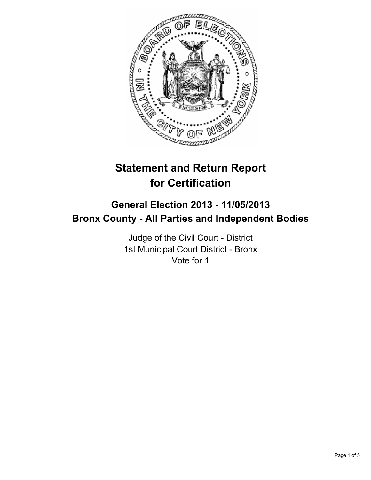

# **Statement and Return Report for Certification**

## **General Election 2013 - 11/05/2013 Bronx County - All Parties and Independent Bodies**

Judge of the Civil Court - District 1st Municipal Court District - Bronx Vote for 1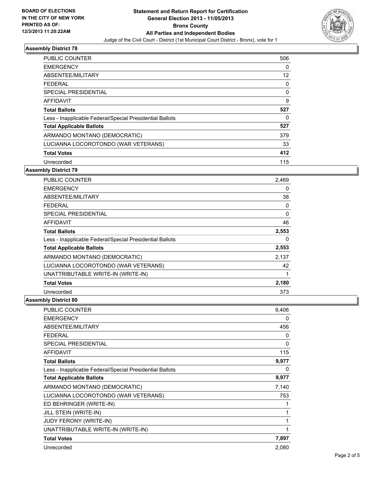

## **Assembly District 78**

| <b>PUBLIC COUNTER</b>                                    | 506 |
|----------------------------------------------------------|-----|
| <b>EMERGENCY</b>                                         | 0   |
| ABSENTEE/MILITARY                                        | 12  |
| <b>FEDERAL</b>                                           | 0   |
| <b>SPECIAL PRESIDENTIAL</b>                              | 0   |
| <b>AFFIDAVIT</b>                                         | 9   |
| <b>Total Ballots</b>                                     | 527 |
| Less - Inapplicable Federal/Special Presidential Ballots | 0   |
| <b>Total Applicable Ballots</b>                          | 527 |
| ARMANDO MONTANO (DEMOCRATIC)                             | 379 |
| LUCIANNA LOCOROTONDO (WAR VETERANS)                      | 33  |
| <b>Total Votes</b>                                       | 412 |
| Unrecorded                                               | 115 |

#### **Assembly District 79**

| PUBLIC COUNTER                                           | 2,469 |
|----------------------------------------------------------|-------|
| <b>EMERGENCY</b>                                         | 0     |
| ABSENTEE/MILITARY                                        | 38    |
| <b>FEDERAL</b>                                           | 0     |
| <b>SPECIAL PRESIDENTIAL</b>                              | 0     |
| <b>AFFIDAVIT</b>                                         | 46    |
| <b>Total Ballots</b>                                     | 2,553 |
| Less - Inapplicable Federal/Special Presidential Ballots | 0     |
| <b>Total Applicable Ballots</b>                          | 2,553 |
| ARMANDO MONTANO (DEMOCRATIC)                             | 2,137 |
| LUCIANNA LOCOROTONDO (WAR VETERANS)                      | 42    |
| UNATTRIBUTABLE WRITE-IN (WRITE-IN)                       | 1     |
| <b>Total Votes</b>                                       | 2,180 |
| Unrecorded                                               | 373   |

#### **Assembly District 80**

| <b>PUBLIC COUNTER</b>                                    | 9,406 |
|----------------------------------------------------------|-------|
| <b>EMERGENCY</b>                                         | 0     |
| ABSENTEE/MILITARY                                        | 456   |
| <b>FEDERAL</b>                                           | 0     |
| <b>SPECIAL PRESIDENTIAL</b>                              | 0     |
| <b>AFFIDAVIT</b>                                         | 115   |
| <b>Total Ballots</b>                                     | 9,977 |
| Less - Inapplicable Federal/Special Presidential Ballots | 0     |
| <b>Total Applicable Ballots</b>                          | 9,977 |
| ARMANDO MONTANO (DEMOCRATIC)                             | 7,140 |
| LUCIANNA LOCOROTONDO (WAR VETERANS)                      | 753   |
| ED BEHRINGER (WRITE-IN)                                  |       |
| JILL STEIN (WRITE-IN)                                    | 1     |
| <b>JUDY FERONY (WRITE-IN)</b>                            | 1     |
| UNATTRIBUTABLE WRITE-IN (WRITE-IN)                       |       |
| <b>Total Votes</b>                                       | 7,897 |
| Unrecorded                                               | 2,080 |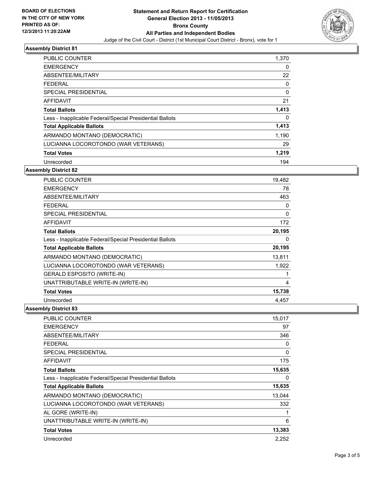

## **Assembly District 81**

| <b>PUBLIC COUNTER</b>                                    | 1,370 |
|----------------------------------------------------------|-------|
| <b>EMERGENCY</b>                                         | 0     |
| ABSENTEE/MILITARY                                        | 22    |
| <b>FEDERAL</b>                                           | 0     |
| SPECIAL PRESIDENTIAL                                     | 0     |
| <b>AFFIDAVIT</b>                                         | 21    |
| <b>Total Ballots</b>                                     | 1,413 |
| Less - Inapplicable Federal/Special Presidential Ballots | 0     |
| <b>Total Applicable Ballots</b>                          | 1,413 |
| ARMANDO MONTANO (DEMOCRATIC)                             | 1,190 |
| LUCIANNA LOCOROTONDO (WAR VETERANS)                      | 29    |
| <b>Total Votes</b>                                       | 1,219 |
| Unrecorded                                               | 194   |

#### **Assembly District 82**

| <b>PUBLIC COUNTER</b>                                    | 19,482 |
|----------------------------------------------------------|--------|
| <b>EMERGENCY</b>                                         | 78     |
| ABSENTEE/MILITARY                                        | 463    |
| <b>FEDERAL</b>                                           | 0      |
| SPECIAL PRESIDENTIAL                                     | 0      |
| <b>AFFIDAVIT</b>                                         | 172    |
| <b>Total Ballots</b>                                     | 20,195 |
| Less - Inapplicable Federal/Special Presidential Ballots | 0      |
| <b>Total Applicable Ballots</b>                          | 20,195 |
| ARMANDO MONTANO (DEMOCRATIC)                             | 13,811 |
| LUCIANNA LOCOROTONDO (WAR VETERANS)                      | 1,922  |
| <b>GERALD ESPOSITO (WRITE-IN)</b>                        | 1      |
| UNATTRIBUTABLE WRITE-IN (WRITE-IN)                       | 4      |
| <b>Total Votes</b>                                       | 15,738 |
| Unrecorded                                               | 4,457  |
|                                                          |        |

#### **Assembly District 83**

| <b>PUBLIC COUNTER</b>                                    | 15,017 |
|----------------------------------------------------------|--------|
| <b>EMERGENCY</b>                                         | 97     |
| ABSENTEE/MILITARY                                        | 346    |
| FEDERAL                                                  | 0      |
| <b>SPECIAL PRESIDENTIAL</b>                              | 0      |
| AFFIDAVIT                                                | 175    |
| <b>Total Ballots</b>                                     | 15,635 |
| Less - Inapplicable Federal/Special Presidential Ballots | 0      |
| <b>Total Applicable Ballots</b>                          | 15,635 |
| ARMANDO MONTANO (DEMOCRATIC)                             | 13,044 |
| LUCIANNA LOCOROTONDO (WAR VETERANS)                      | 332    |
| AL GORE (WRITE-IN)                                       | 1      |
| UNATTRIBUTABLE WRITE-IN (WRITE-IN)                       | 6      |
| <b>Total Votes</b>                                       | 13,383 |
| Unrecorded                                               | 2,252  |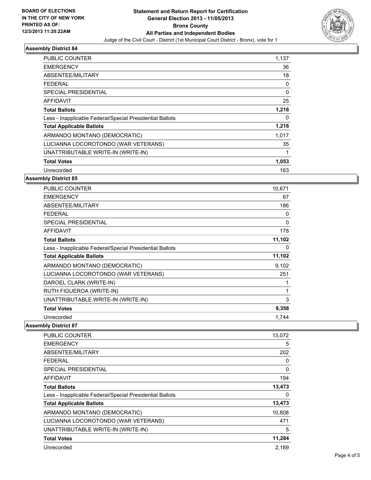

#### **Assembly District 84**

| <b>PUBLIC COUNTER</b>                                    | 1,137 |
|----------------------------------------------------------|-------|
| <b>EMERGENCY</b>                                         | 36    |
| ABSENTEE/MILITARY                                        | 18    |
| FEDERAL                                                  | 0     |
| SPECIAL PRESIDENTIAL                                     | 0     |
| <b>AFFIDAVIT</b>                                         | 25    |
| <b>Total Ballots</b>                                     | 1,216 |
| Less - Inapplicable Federal/Special Presidential Ballots | 0     |
| <b>Total Applicable Ballots</b>                          | 1,216 |
| ARMANDO MONTANO (DEMOCRATIC)                             | 1,017 |
| LUCIANNA LOCOROTONDO (WAR VETERANS)                      | 35    |
| UNATTRIBUTABLE WRITE-IN (WRITE-IN)                       |       |
| <b>Total Votes</b>                                       | 1,053 |
| Unrecorded                                               | 163   |

#### **Assembly District 85**

| <b>PUBLIC COUNTER</b>                                    | 10,671 |
|----------------------------------------------------------|--------|
| <b>EMERGENCY</b>                                         | 67     |
| ABSENTEE/MILITARY                                        | 186    |
| <b>FEDERAL</b>                                           | 0      |
| <b>SPECIAL PRESIDENTIAL</b>                              | 0      |
| <b>AFFIDAVIT</b>                                         | 178    |
| <b>Total Ballots</b>                                     | 11,102 |
| Less - Inapplicable Federal/Special Presidential Ballots | 0      |
| <b>Total Applicable Ballots</b>                          | 11,102 |
| ARMANDO MONTANO (DEMOCRATIC)                             | 9,102  |
| LUCIANNA LOCOROTONDO (WAR VETERANS)                      | 251    |
| DAROEL CLARK (WRITE-IN)                                  |        |
| RUTH FIGUEROA (WRITE-IN)                                 | 1      |
| UNATTRIBUTABLE WRITE-IN (WRITE-IN)                       | 3      |
| <b>Total Votes</b>                                       | 9,358  |
| Unrecorded                                               | 1.744  |

#### **Assembly District 87**

| <b>PUBLIC COUNTER</b>                                    | 13,072   |
|----------------------------------------------------------|----------|
| <b>EMERGENCY</b>                                         | 5        |
| ABSENTEE/MILITARY                                        | 202      |
| <b>FEDERAL</b>                                           | 0        |
| <b>SPECIAL PRESIDENTIAL</b>                              | $\Omega$ |
| AFFIDAVIT                                                | 194      |
| <b>Total Ballots</b>                                     | 13,473   |
| Less - Inapplicable Federal/Special Presidential Ballots | 0        |
| <b>Total Applicable Ballots</b>                          | 13,473   |
| ARMANDO MONTANO (DEMOCRATIC)                             | 10,808   |
| LUCIANNA LOCOROTONDO (WAR VETERANS)                      | 471      |
| UNATTRIBUTABLE WRITE-IN (WRITE-IN)                       | 5        |
| <b>Total Votes</b>                                       | 11,284   |
| Unrecorded                                               | 2,189    |